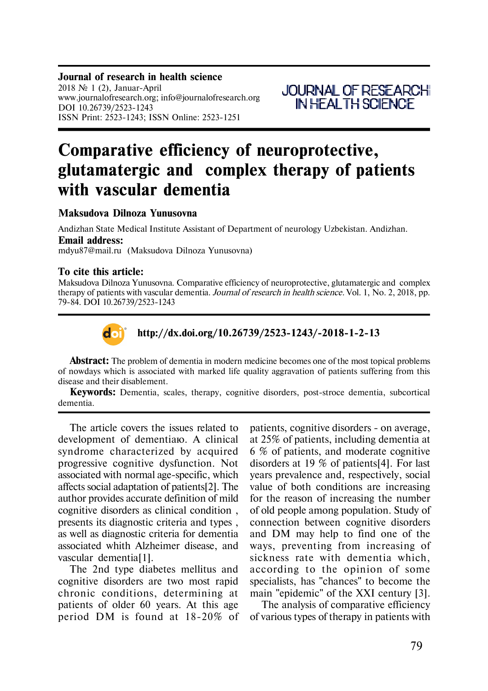**Journal of research in health science** 2018  $\mathcal{N}$  1 (2), Januar-April www.journalofresearch.org; info@journalofresearch.org DOI 10.26739/2523-1243 ISSN Print: 2523-1243; ISSN Online: 2523-1251



# Comparative efficiency of neuroprotective, **glutamatergic and complex therapy of patients with vascular dementia**

## **Maksudova Dilnoza Yunusovna**

Andizhan State Medical Institute Assistant of Department of neurology Uzbekistan. Andizhan. **Email address:** mdyu87@mail.ru (Maksudova Dilnoza Yunusovna)

## **To cite this article:**

Maksudova Dilnoza Yunusovna. Comparative efficiency of neuroprotective, glutamatergic and complex therapy of patients with vascular dementia. *Journal of research in health science.* Vol. 1, No. 2, 2018, pp. 79-84. DOI 10.26739/2523-1243



## **http://dx.doi.org/10.26739/2523-1243/-2018-1-2-13**

**Abstract:** The problem of dementia in modern medicine becomes one of the most topical problems of nowdays which is associated with marked life quality aggravation of patients suffering from this disease and their disablement.

**Keywords:** Dementia, scales, therapy, cognitive disorders, post-stroce dementia, subcortical dementia.

The article covers the issues related to development of dementia<sub>b</sub>. A clinical syndrome characterized by acquired progressive cognitive dysfunction. Not associated with normal age-specific, which affects social adaptation of patients[2]. The author provides accurate definition of mild cognitive disorders as clinical condition , presents its diagnostic criteria and types , as well as diagnostic criteria for dementia associated whith Alzheimer disease, and vascular dementia[1].

The 2nd type diabetes mellitus and cognitive disorders are two most rapid chronic conditions, determining at patients of older 60 years. At this age period DM is found at 18-20% of

patients, cognitive disorders - on average, at 25% of patients, including dementia at 6 % of patients, and moderate cognitive disorders at 19 % of patients[4]. For last years prevalence and, respectively, social value of both conditions are increasing for the reason of increasing the number of old people among population. Study of connection between cognitive disorders and DM may help to find one of the ways, preventing from increasing of sickness rate with dementia which, according to the opinion of some specialists, has "chances" to become the main "epidemic" of the XXI century [3].

The analysis of comparative efficiency of various types of therapy in patients with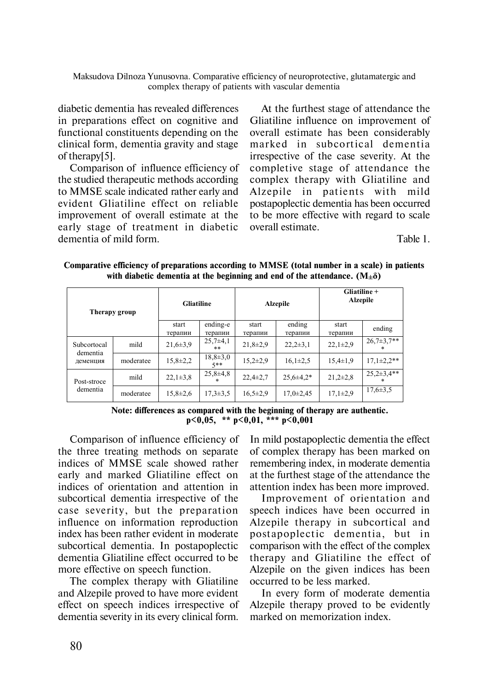Maksudova Dilnoza Yunusovna. Comparative efficiency of neuroprotective, glutamatergic and complex therapy of patients with vascular dementia

diabetic dementia has revealed differences in preparations effect on cognitive and functional constituents depending on the clinical form, dementia gravity and stage of therapy<sup>[5]</sup>.

Comparison of influence efficiency of the studied therapeutic methods according to MMSE scale indicated rather early and evident Gliatiline effect on reliable improvement of overall estimate at the early stage of treatment in diabetic dementia of mild form.

At the furthest stage of attendance the Gliatiline influence on improvement of overall estimate has been considerably marked in subcortical dementia irrespective of the case severity. At the completive stage of attendance the complex therapy with Gliatiline and Alzepile in patients with mild postapoplectic dementia has been occurred to be more effective with regard to scale overall estimate.

Table 1.

| Therapy group                       |           | <b>Gliatiline</b> |                      | <b>Alzepile</b>  |                   | Gliatiline +<br><b>Alzepile</b> |                          |
|-------------------------------------|-----------|-------------------|----------------------|------------------|-------------------|---------------------------------|--------------------------|
|                                     |           | start<br>терапии  | ending-e<br>терапии  | start<br>терапии | ending<br>терапии | start<br>терапии                | ending                   |
| Subcortocal<br>dementia<br>деменция | mild      | $21,6 \pm 3.9$    | $25,7\pm4,1$<br>**   | $21,8+2,9$       | $22,2\pm3,1$      | $22,1\pm 2,9$                   | $26,7\pm3,7**$<br>$\ast$ |
|                                     | moderatee | $15,8 \pm 2,2$    | $18,8+3,0$<br>$5**$  | $15,2\pm 2,9$    | $16,1\pm2,5$      | $15,4\pm1,9$                    | $17,1\pm2.2**$           |
| Post-stroce<br>dementia             | mild      | $22,1\pm3,8$      | $25,8+4,8$<br>$\ast$ | $22,4\pm 2,7$    | $25.6\pm4.2*$     | $21,2\pm 2,8$                   | $25,2\pm3,4**$<br>$\ast$ |
|                                     | moderatee | $15,8 \pm 2,6$    | $17,3 \pm 3,5$       | $16,5\pm2,9$     | $17,0\pm2,45$     | $17.1 \pm 2.9$                  | $17,6 \pm 3,5$           |

Comparative efficiency of preparations according to MMSE (total number in a scale) in patients with diabetic dementia at the beginning and end of the attendance.  $(M<sub>±</sub>δ)$ 

Note: differences as compared with the beginning of therapy are authentic.  $p<0.05$ , \*\*  $p<0.01$ , \*\*\*  $p<0.001$ 

Comparison of influence efficiency of the three treating methods on separate indices of MMSE scale showed rather early and marked Gliatiline effect on indices of orientation and attention in subcortical dementia irrespective of the case severity, but the preparation influence on information reproduction index has been rather evident in moderate subcortical dementia. In postapoplectic dementia Gliatiline effect occurred to be more effective on speech function.

The complex therapy with Gliatiline and Alzepile proved to have more evident effect on speech indices irrespective of dementia severity in its every clinical form.

In mild postapoplectic dementia the effect of complex therapy has been marked on remembering index, in moderate dementia at the furthest stage of the attendance the attention index has been more improved.

Improvement of orientation and speech indices have been occurred in Alzepile therapy in subcortical and postapoplectic dementia, but in comparison with the effect of the complex therapy and Gliatiline the effect of Alzepile on the given indices has been occurred to be less marked.

In every form of moderate dementia Alzepile therapy proved to be evidently marked on memorization index.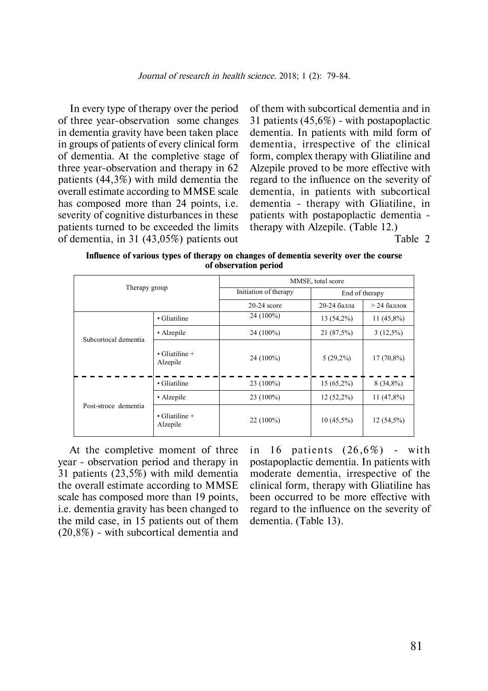In every type of therapy over the period of three year-observation some changes in dementia gravity have been taken place in groups of patients of every clinical form of dementia. At the completive stage of three year-observation and therapy in 62 patients (44,3%) with mild dementia the overall estimate according to MMSE scale has composed more than 24 points, i.e. severity of cognitive disturbances in these patients turned to be exceeded the limits of dementia, in 31 (43,05%) patients out

of them with subcortical dementia and in 31 patients (45,6%) - with postapoplactic dementia. In patients with mild form of dementia, irrespective of the clinical form, complex therapy with Gliatiline and Alzepile proved to be more effective with regard to the influence on the severity of dementia, in patients with subcortical dementia - therapy with Gliatiline, in patients with postapoplactic dementia therapy with Alzepile. (Table 12.)

Table 2

**Influence of various types of therapy on changes of dementia severity over the course of observation period**

| Therapy group        |                                    | MMSE, total score     |                |               |  |  |
|----------------------|------------------------------------|-----------------------|----------------|---------------|--|--|
|                      |                                    | Initiation of therapy | End of therapy |               |  |  |
|                      |                                    | $20-24$ score         | 20-24 балла    | $>$ 24 баллов |  |  |
| Subcortocal dementia | • Gliatiline                       | $24(100\%)$           | $13(54,2\%)$   | $11(45,8\%)$  |  |  |
|                      | • Alzepile                         | 24 (100%)             | 21 (87,5%)     | $3(12,5\%)$   |  |  |
|                      | $\bullet$ Gliatiline +<br>Alzepile | $24(100\%)$           | $5(29,2\%)$    | $17(70,8\%)$  |  |  |
| Post-stroce dementia | • Gliatiline                       | $23(100\%)$           | $15(65,2\%)$   | $8(34,8\%)$   |  |  |
|                      | • Alzepile                         | $23(100\%)$           | $12(52,2\%)$   | 11 $(47,8\%)$ |  |  |
|                      | $\bullet$ Gliatiline +<br>Alzepile | $22(100\%)$           | $10(45,5\%)$   | 12 (54,5%)    |  |  |

At the completive moment of three year - observation period and therapy in 31 patients (23,5%) with mild dementia the overall estimate according to MMSE scale has composed more than 19 points, i.e. dementia gravity has been changed to the mild case, in 15 patients out of them (20,8%) - with subcortical dementia and in 16 patients  $(26,6%)$  - with postapoplactic dementia. In patients with moderate dementia, irrespective of the clinical form, therapy with Gliatiline has been occurred to be more effective with regard to the influence on the severity of dementia. (Table 13).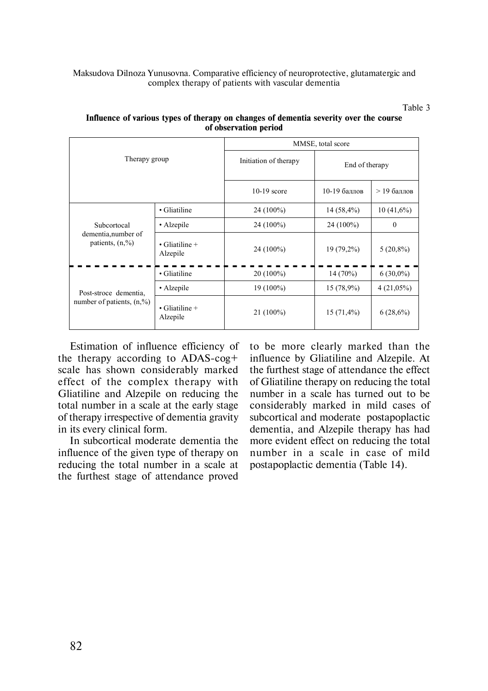### Maksudova Dilnoza Yunusovna. Comparative efficiency of neuroprotective, glutamatergic and complex therapy of patients with vascular dementia

Table 3

| Therapy group                                          |                                    | MMSE, total score     |                |               |  |  |
|--------------------------------------------------------|------------------------------------|-----------------------|----------------|---------------|--|--|
|                                                        |                                    | Initiation of therapy | End of therapy |               |  |  |
|                                                        |                                    | $10-19$ score         | 10-19 баллов   | $>$ 19 баллов |  |  |
|                                                        | • Gliatiline                       | $24(100\%)$           | $14(58,4\%)$   | $10(41,6\%)$  |  |  |
| Subcortocal                                            | • Alzepile                         | $24(100\%)$           | $24(100\%)$    | $\mathbf{0}$  |  |  |
| dementia, number of<br>patients, $(n, %$               | $\cdot$ Gliatiline +<br>Alzepile   | 24 (100%)             | 19 (79,2%)     | $5(20,8\%)$   |  |  |
| Post-stroce dementia,<br>number of patients, $(n, %$ ) | • Gliatiline<br>$20(100\%)$        |                       | 14(70%)        | $6(30,0\%)$   |  |  |
|                                                        | • Alzepile                         | $19(100\%)$           | $15(78,9\%)$   | $4(21,05\%)$  |  |  |
|                                                        | $\bullet$ Gliatiline +<br>Alzepile | $21(100\%)$           | $15(71,4\%)$   | $6(28,6\%)$   |  |  |

## **Influence of various types of therapy on changes of dementia severity over the course of observation period**

Estimation of influence efficiency of the therapy according to ADAS-cog+ scale has shown considerably marked effect of the complex therapy with Gliatiline and Alzepile on reducing the total number in a scale at the early stage of therapy irrespective of dementia gravity in its every clinical form.

In subcortical moderate dementia the influence of the given type of therapy on reducing the total number in a scale at the furthest stage of attendance proved to be more clearly marked than the influence by Gliatiline and Alzepile. At the furthest stage of attendance the effect of Gliatiline therapy on reducing the total number in a scale has turned out to be considerably marked in mild cases of subcortical and moderate postapoplactic dementia, and Alzepile therapy has hàd more evident effect on reducing the total number in a scale in case of mild postapoplactic dementia (Table 14).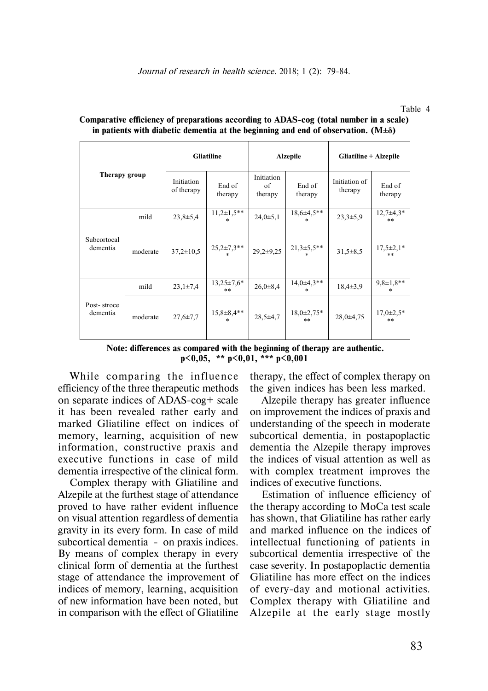| Therapy group           |          | <b>Gliatiline</b>        |                          | <b>Alzepile</b>             |                           | Gliatiline + Alzepile    |                            |
|-------------------------|----------|--------------------------|--------------------------|-----------------------------|---------------------------|--------------------------|----------------------------|
|                         |          | Initiation<br>of therapy | End of<br>therapy        | Initiation<br>of<br>therapy | End of<br>therapy         | Initiation of<br>therapy | End of<br>therapy          |
| Subcortocal<br>dementia | mild     | $23,8+5,4$               | $11,2\pm1,5**$<br>$\ast$ | 24,0±5,1                    | $18,6\pm 4,5**$<br>$\ast$ | $23,3+5,9$               | $12,7\pm 4,3*$<br>$***$    |
|                         | moderate | $37,2 \pm 10,5$          | $25,2\pm 7,3$ **         | $29,2\pm 9,25$              | $21,3+5,5**$              | $31,5+8,5$               | $17,5 \pm 2,1*$<br>$**$    |
| Post-stroce<br>dementia | mild     | $23,1\pm7,4$             | $13,25\pm7,6*$<br>$**$   | $26,0 \pm 8,4$              | $14,0+4,3**$<br>$\ast$    | $18,4\pm3,9$             | $9,8 \pm 1,8$ **<br>$\ast$ |
|                         | moderate | $27,6 \pm 7,7$           | $15,8+8,4**$<br>$\ast$   | $28,5+4,7$                  | $18,0{\pm}2,75*$<br>$***$ | $28.0 \pm 4.75$          | $17,0 \pm 2,5$ *<br>$**$   |

| Comparative efficiency of preparations according to ADAS-cog (total number in a scale)     |  |
|--------------------------------------------------------------------------------------------|--|
| in patients with diabetic dementia at the beginning and end of observation. $(M\pm\delta)$ |  |

 **Note: differences as compared with the beginning of therapy are authentic. ð<0,05, \*\* ð<0,01, \*\*\* ð<0,001**

While comparing the influence efficiency of the three therapeutic methods on separate indices of ADAS-cog+ scale it has been revealed rather early and marked Gliatiline effect on indices of memory, learning, acquisition of new information, constructive praxis and executive functions in case of mild dementia irrespective of the clinical form.

Complex therapy with Gliatiline and Alzepile at the furthest stage of attendance proved to have rather evident influence on visual attention regardless of dementia gravity in its every form. In case of mild subcortical dementia - on praxis indices. By means of complex therapy in every clinical form of dementia at the furthest stage of attendance the improvement of indices of memory, learning, acquisition of new information have been noted, but in comparison with the effect of Gliatiline

therapy, the effect of complex therapy on the given indices has been less marked.

Alzepile therapy has greater influence on improvement the indices of praxis and understanding of the speech in moderate subcortical dementia, in postapoplactic dementia the Alzepile therapy improves the indices of visual attention as well as with complex treatment improves the indices of executive functions.

Estimation of influence efficiency of the therapy according to MoCa test scale has shown, that Gliatiline has rather early and marked influence on the indices of intellectual functioning of patients in subcortical dementia irrespective of the case severity. In postapoplactic dementia Gliatiline has more effect on the indices of every-day and motional activities. Complex therapy with Gliatiline and Alzepile at the early stage mostly

Table 4